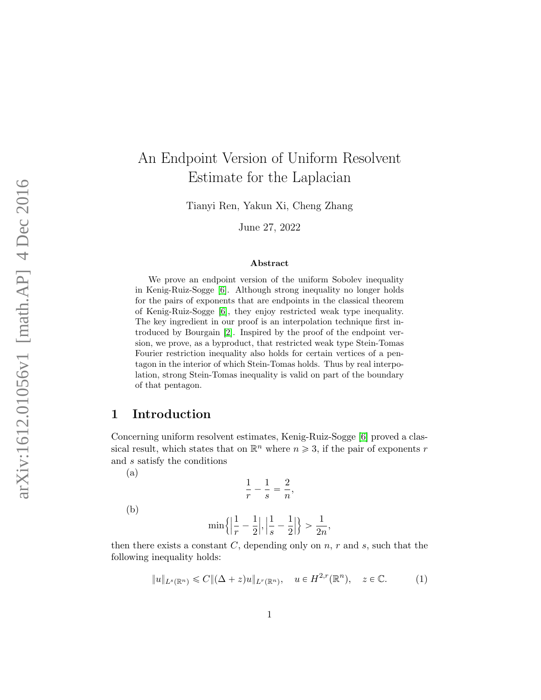# An Endpoint Version of Uniform Resolvent Estimate for the Laplacian

Tianyi Ren, Yakun Xi, Cheng Zhang

June 27, 2022

#### Abstract

We prove an endpoint version of the uniform Sobolev inequality in Kenig-Ruiz-Sogge [\[6\]](#page-15-0). Although strong inequality no longer holds for the pairs of exponents that are endpoints in the classical theorem of Kenig-Ruiz-Sogge [\[6\]](#page-15-0), they enjoy restricted weak type inequality. The key ingredient in our proof is an interpolation technique first introduced by Bourgain [\[2\]](#page-14-0). Inspired by the proof of the endpoint version, we prove, as a byproduct, that restricted weak type Stein-Tomas Fourier restriction inequality also holds for certain vertices of a pentagon in the interior of which Stein-Tomas holds. Thus by real interpolation, strong Stein-Tomas inequality is valid on part of the boundary of that pentagon.

### 1 Introduction

Concerning uniform resolvent estimates, Kenig-Ruiz-Sogge [\[6\]](#page-15-0) proved a classical result, which states that on  $\mathbb{R}^n$  where  $n \geq 3$ , if the pair of exponents r and s satisfy the conditions

(a)

$$
\frac{1}{r}-\frac{1}{s}=\frac{2}{n},
$$

(b)

$$
\min\left\{\left|\frac{1}{r}-\frac{1}{2}\right|,\left|\frac{1}{s}-\frac{1}{2}\right|\right\} > \frac{1}{2n},
$$

then there exists a constant  $C$ , depending only on  $n, r$  and  $s$ , such that the following inequality holds:

$$
||u||_{L^{s}(\mathbb{R}^n)} \leq C||(\Delta + z)u||_{L^{r}(\mathbb{R}^n)}, \quad u \in H^{2,r}(\mathbb{R}^n), \quad z \in \mathbb{C}.\tag{1}
$$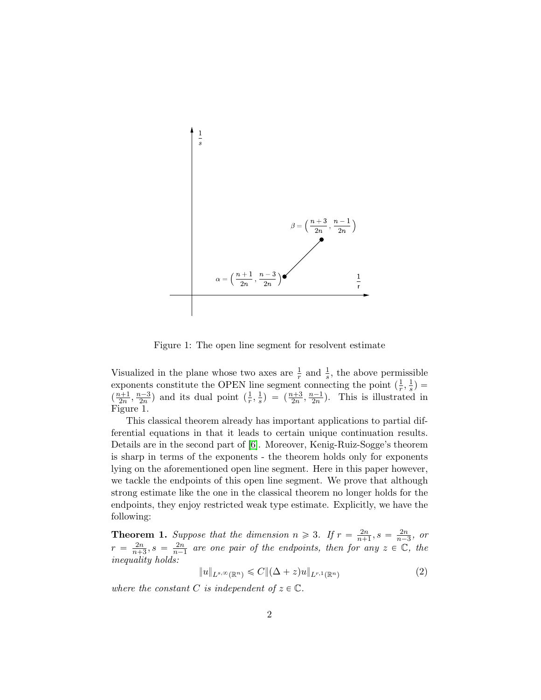

Figure 1: The open line segment for resolvent estimate

Visualized in the plane whose two axes are  $\frac{1}{r}$  and  $\frac{1}{s}$ , the above permissible exponents constitute the OPEN line segment connecting the point  $\left(\frac{1}{r}\right)$  $\frac{1}{r}, \frac{1}{s}$  $\frac{1}{s}) =$  $\left(\frac{n+1}{2n},\frac{n-3}{2n}\right)$  and its dual point  $\left(\frac{1}{r}\right)$  $\frac{1}{r}, \frac{1}{s}$  $\frac{1}{s}$ ) =  $(\frac{n+3}{2n}, \frac{n-1}{2n})$ . This is illustrated in Figure 1.

This classical theorem already has important applications to partial differential equations in that it leads to certain unique continuation results. Details are in the second part of [\[6\]](#page-15-0). Moreover, Kenig-Ruiz-Sogge's theorem is sharp in terms of the exponents - the theorem holds only for exponents lying on the aforementioned open line segment. Here in this paper however, we tackle the endpoints of this open line segment. We prove that although strong estimate like the one in the classical theorem no longer holds for the endpoints, they enjoy restricted weak type estimate. Explicitly, we have the following:

**Theorem 1.** Suppose that the dimension  $n \geq 3$ . If  $r = \frac{2n}{n+1}$  $\frac{2n}{n+1}, s = \frac{2n}{n-1}$  $rac{2n}{n-3}$ , or  $r = \frac{2n}{n+1}$  $\frac{2n}{n+3}, s = \frac{2n}{n-3}$  $\frac{2n}{n-1}$  are one pair of the endpoints, then for any  $z \in \mathbb{C}$ , the inequality holds:

$$
||u||_{L^{s,\infty}(\mathbb{R}^n)} \leqslant C ||(\Delta + z)u||_{L^{r,1}(\mathbb{R}^n)}
$$
\n
$$
(2)
$$

where the constant C is independent of  $z \in \mathbb{C}$ .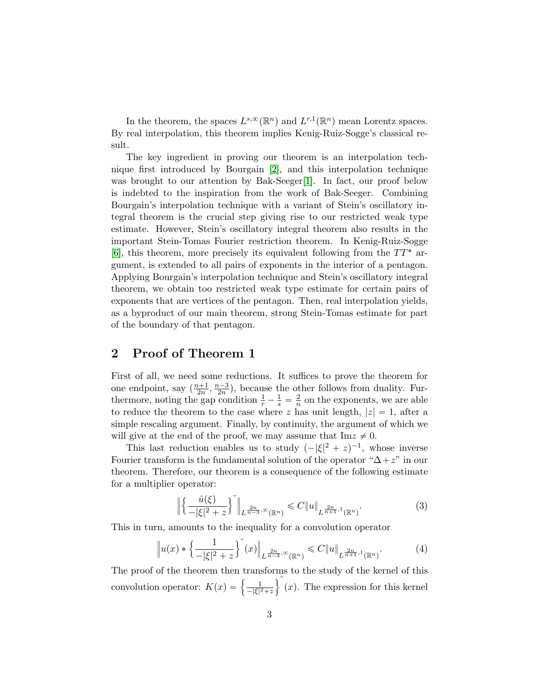In the theorem, the spaces  $L^{s,\infty}(\mathbb{R}^n)$  and  $L^{r,1}(\mathbb{R}^n)$  mean Lorentz spaces. By real interpolation, this theorem implies Kenig-Ruiz-Sogge's classical result.

The key ingredient in proving our theorem is an interpolation technique first introduced by Bourgain [\[2\]](#page-14-0), and this interpolation technique was brought to our attention by Bak-Seeger[\[1\]](#page-14-1). In fact, our proof below is indebted to the inspiration from the work of Bak-Seeger. Combining Bourgain's interpolation technique with a variant of Stein's oscillatory integral theorem is the crucial step giving rise to our restricted weak type estimate. However, Stein's oscillatory integral theorem also results in the important Stein-Tomas Fourier restriction theorem. In Kenig-Ruiz-Sogge [\[6\]](#page-15-0), this theorem, more precisely its equivalent following from the  $TT^*$  argument, is extended to all pairs of exponents in the interior of a pentagon. Applying Bourgain's interpolation technique and Stein's oscillatory integral theorem, we obtain too restricted weak type estimate for certain pairs of exponents that are vertices of the pentagon. Then, real interpolation yields, as a byproduct of our main theorem, strong Stein-Tomas estimate for part of the boundary of that pentagon.

#### 2 Proof of Theorem 1

First of all, we need some reductions. It suffices to prove the theorem for one endpoint, say  $\left(\frac{n+1}{2n}, \frac{n-3}{2n}\right)$ , because the other follows from duality. Furthermore, noting the gap condition  $\frac{1}{r} - \frac{1}{s} = \frac{2}{n}$  $\frac{2}{n}$  on the exponents, we are able to reduce the theorem to the case where z has unit length,  $|z| = 1$ , after a simple rescaling argument. Finally, by continuity, the argument of which we will give at the end of the proof, we may assume that  $\text{Im}z \neq 0$ .

This last reduction enables us to study  $(-|\xi|^2 + z)^{-1}$ , whose inverse Fourier transform is the fundamental solution of the operator " $\Delta + z$ " in our theorem. Therefore, our theorem is a consequence of the following estimate for a multiplier operator:

$$
\left\| \left\{ \frac{\hat{u}(\xi)}{-|\xi|^2 + z} \right\}^{\check{}} \right\|_{L^{\frac{2n}{n-3}, \infty}(\mathbb{R}^n)} \leqslant C \|u\|_{L^{\frac{2n}{n+1}, 1}(\mathbb{R}^n)}.
$$
\n(3)

This in turn, amounts to the inequality for a convolution operator

$$
\|u(x) * \left\{\frac{1}{-|\xi|^2 + z}\right\}(x)\|_{L^{\frac{2n}{n-3}, \infty}(\mathbb{R}^n)} \leq C \|u\|_{L^{\frac{2n}{n+1}, 1}(\mathbb{R}^n)}.
$$
 (4)

The proof of the theorem then transforms to the study of the kernel of this The proof of the theorem then transic convolution operator:  $K(x) = \begin{cases} \frac{1}{-|x|^2} & \text{if } |x| > 1 \end{cases}$  $\frac{1}{-|\xi|^2+z}$   $\langle x \rangle$ . The expression for this kernel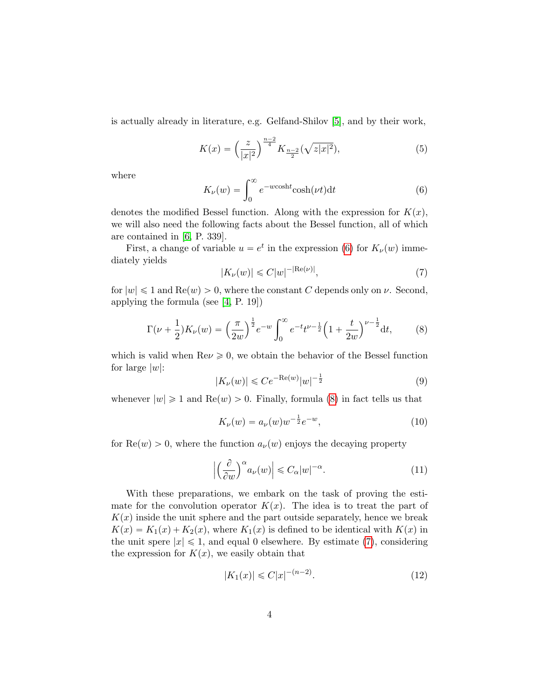is actually already in literature, e.g. Gelfand-Shilov [\[5\]](#page-15-1), and by their work,

$$
K(x) = \left(\frac{z}{|x|^2}\right)^{\frac{n-2}{4}} K_{\frac{n-2}{2}}(\sqrt{z|x|^2}),\tag{5}
$$

where

<span id="page-3-0"></span>
$$
K_{\nu}(w) = \int_0^\infty e^{-w \cosh t} \cosh(\nu t) dt
$$
 (6)

denotes the modified Bessel function. Along with the expression for  $K(x)$ , we will also need the following facts about the Bessel function, all of which are contained in [\[6,](#page-15-0) P. 339].

First, a change of variable  $u = e^t$  in the expression [\(6\)](#page-3-0) for  $K_{\nu}(w)$  immediately yields

<span id="page-3-2"></span>
$$
|K_{\nu}(w)| \leqslant C|w|^{-|\text{Re}(\nu)|},\tag{7}
$$

for  $|w| \leq 1$  and  $\text{Re}(w) > 0$ , where the constant C depends only on  $\nu$ . Second, applying the formula (see [\[4,](#page-14-2) P. 19])

<span id="page-3-1"></span>
$$
\Gamma(\nu + \frac{1}{2})K_{\nu}(w) = \left(\frac{\pi}{2w}\right)^{\frac{1}{2}} e^{-w} \int_0^{\infty} e^{-t} t^{\nu - \frac{1}{2}} \left(1 + \frac{t}{2w}\right)^{\nu - \frac{1}{2}} dt, \tag{8}
$$

which is valid when  $\text{Re}\nu \geq 0$ , we obtain the behavior of the Bessel function for large  $|w|$ :

$$
|K_{\nu}(w)| \leqslant Ce^{-\text{Re}(w)}|w|^{-\frac{1}{2}}\tag{9}
$$

whenever  $|w| \geq 1$  and  $\text{Re}(w) > 0$ . Finally, formula [\(8\)](#page-3-1) in fact tells us that

$$
K_{\nu}(w) = a_{\nu}(w)w^{-\frac{1}{2}}e^{-w}, \qquad (10)
$$

for  $\text{Re}(w) > 0$ , where the function  $a_{\nu}(w)$  enjoys the decaying property

$$
\left| \left( \frac{\partial}{\partial w} \right)^{\alpha} a_{\nu}(w) \right| \leq C_{\alpha} |w|^{-\alpha}.
$$
 (11)

With these preparations, we embark on the task of proving the estimate for the convolution operator  $K(x)$ . The idea is to treat the part of  $K(x)$  inside the unit sphere and the part outside separately, hence we break  $K(x) = K_1(x) + K_2(x)$ , where  $K_1(x)$  is defined to be identical with  $K(x)$  in the unit spere  $|x| \leq 1$ , and equal 0 elsewhere. By estimate [\(7\)](#page-3-2), considering the expression for  $K(x)$ , we easily obtain that

$$
|K_1(x)| \leq C|x|^{-(n-2)}.\tag{12}
$$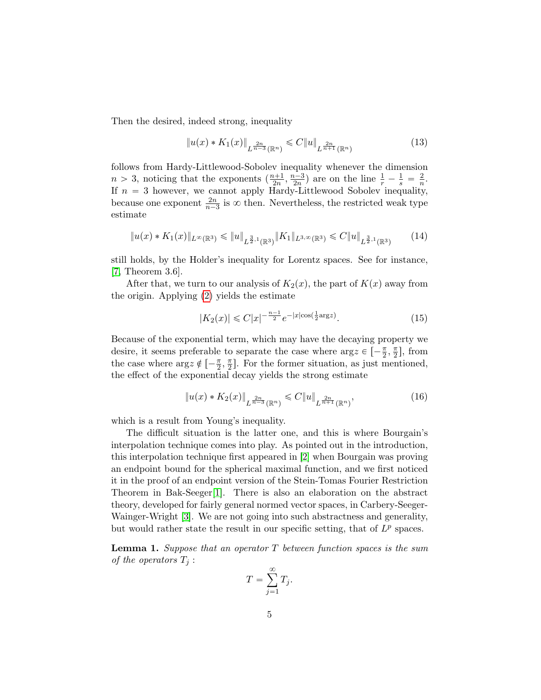Then the desired, indeed strong, inequality

<span id="page-4-0"></span>
$$
||u(x) * K_1(x)||_{L^{\frac{2n}{n-3}}(\mathbb{R}^n)} \leq C||u||_{L^{\frac{2n}{n+1}}(\mathbb{R}^n)}
$$
\n(13)

follows from Hardy-Littlewood-Sobolev inequality whenever the dimension  $n > 3$ , noticing that the exponents  $\left(\frac{n+1}{2n}, \frac{n-3}{2n}\right)$  are on the line  $\frac{1}{r} - \frac{1}{s} = \frac{2}{n}$  $\frac{2}{n}$ . If  $n = 3$  however, we cannot apply Hardy-Littlewood Sobolev inequality, because one exponent  $\frac{2n}{n-3}$  is  $\infty$  then. Nevertheless, the restricted weak type estimate

<span id="page-4-1"></span>
$$
||u(x) * K_1(x)||_{L^{\infty}(\mathbb{R}^3)} \le ||u||_{L^{\frac{3}{2},1}(\mathbb{R}^3)} ||K_1||_{L^{3,\infty}(\mathbb{R}^3)} \le C ||u||_{L^{\frac{3}{2},1}(\mathbb{R}^3)} \tag{14}
$$

still holds, by the Holder's inequality for Lorentz spaces. See for instance, [\[7,](#page-15-2) Theorem 3.6].

After that, we turn to our analysis of  $K_2(x)$ , the part of  $K(x)$  away from the origin. Applying [\(2\)](#page-6-0) yields the estimate

$$
|K_2(x)| \leq C|x|^{-\frac{n-1}{2}}e^{-|x|\cos(\frac{1}{2}\arg z)}.\tag{15}
$$

Because of the exponential term, which may have the decaying property we desire, it seems preferable to separate the case where  $\arg z \in \left[ -\frac{\pi}{2}, \frac{\pi}{2} \right]$  $\frac{\pi}{2}$ , from the case where  $\arg z \notin \left[ -\frac{\pi}{2}, \frac{\pi}{2} \right]$  $\frac{\pi}{2}$ . For the former situation, as just mentioned, the effect of the exponential decay yields the strong estimate

<span id="page-4-2"></span>
$$
||u(x) * K_2(x)||_{L^{\frac{2n}{n-3}}(\mathbb{R}^n)} \leqslant C||u||_{L^{\frac{2n}{n+1}}(\mathbb{R}^n)},
$$
\n(16)

which is a result from Young's inequality.

The difficult situation is the latter one, and this is where Bourgain's interpolation technique comes into play. As pointed out in the introduction, this interpolation technique first appeared in [\[2\]](#page-14-0) when Bourgain was proving an endpoint bound for the spherical maximal function, and we first noticed it in the proof of an endpoint version of the Stein-Tomas Fourier Restriction Theorem in Bak-Seeger[\[1\]](#page-14-1). There is also an elaboration on the abstract theory, developed for fairly general normed vector spaces, in Carbery-Seeger-Wainger-Wright [\[3\]](#page-14-3). We are not going into such abstractness and generality, but would rather state the result in our specific setting, that of  $L^p$  spaces.

**Lemma 1.** Suppose that an operator  $T$  between function spaces is the sum of the operators  $T_j$ :

$$
T = \sum_{j=1}^{\infty} T_j.
$$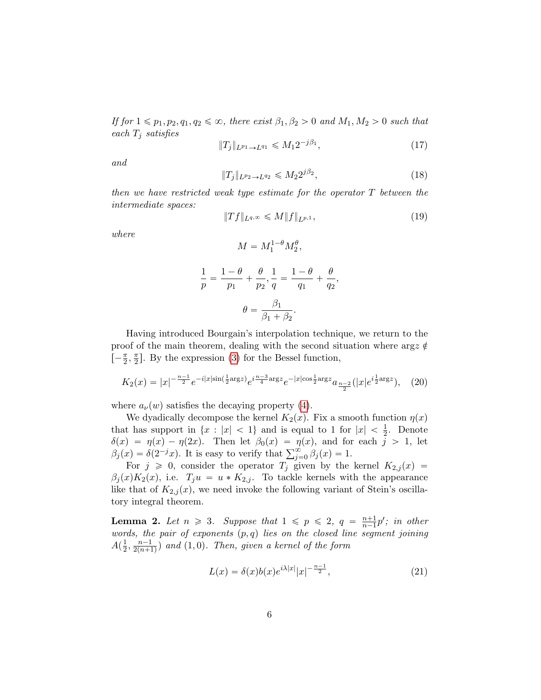If for  $1 \leq p_1, p_2, q_1, q_2 \leq \infty$ , there exist  $\beta_1, \beta_2 > 0$  and  $M_1, M_2 > 0$  such that each  $T_j$  satisfies

$$
||T_j||_{L^{p_1}\to L^{q_1}} \leq M_1 2^{-j\beta_1},\tag{17}
$$

and

$$
||T_j||_{L^{p_2}\to L^{q_2}} \leq M_2 2^{j\beta_2},
$$
\n(18)

then we have restricted weak type estimate for the operator  $T$  between the intermediate spaces:

$$
||Tf||_{L^{q,\infty}} \leqslant M||f||_{L^{p,1}},
$$
\n(19)

where

$$
M = M_1^{1-\theta} M_2^{\theta},
$$

$$
\frac{1}{p} = \frac{1 - \theta}{p_1} + \frac{\theta}{p_2}, \frac{1}{q} = \frac{1 - \theta}{q_1} + \frac{\theta}{q_2},
$$

$$
\theta = \frac{\beta_1}{\beta_1 + \beta_2}.
$$

Having introduced Bourgain's interpolation technique, we return to the proof of the main theorem, dealing with the second situation where  $\arg z \notin$  $\left[-\frac{\pi}{2},\frac{\pi}{2}\right]$  $\frac{\pi}{2}$ . By the expression [\(3\)](#page-10-0) for the Bessel function,

$$
K_2(x) = |x|^{-\frac{n-1}{2}} e^{-i|x|\sin(\frac{1}{2}\arg z)} e^{i\frac{n-3}{4}\arg z} e^{-|x|\cos(\frac{1}{2}\arg z)} a_{\frac{n-2}{2}}(|x|e^{i\frac{1}{2}\arg z}), \quad (20)
$$

where  $a_{\nu}(w)$  satisfies the decaying property [\(4\)](#page-13-0).

We dyadically decompose the kernel  $K_2(x)$ . Fix a smooth function  $\eta(x)$ that has support in  $\{x : |x| < 1\}$  and is equal to 1 for  $|x| < \frac{1}{2}$ . Denote  $\delta(x) = \eta(x) - \eta(2x)$ . Then let  $\beta_0(x) = \eta(x)$ , and for each j > 1, let  $\delta(x) = \eta(x) - \eta(2x)$ . Then let  $\beta_0(x) = \eta(x)$ , and for  $\beta_j(x) = \delta(2^{-j}x)$ . It is easy to verify that  $\sum_{j=0}^{\infty} \beta_j(x) = 1$ .

For  $j \geq 0$ , consider the operator  $T_j$  given by the kernel  $K_{2,j}(x) =$  $\beta_j(x)K_2(x)$ , i.e.  $T_ju = u * K_{2,j}$ . To tackle kernels with the appearance like that of  $K_{2,j}(x)$ , we need invoke the following variant of Stein's oscillatory integral theorem.

**Lemma 2.** Let  $n \geq 3$ . Suppose that  $1 \leq p \leq 2$ ,  $q = \frac{n+1}{n-1}$  $\frac{n+1}{n-1}p'$ ; in other words, the pair of exponents  $(p, q)$  lies on the closed line segment joining  $A(\frac{1}{2})$  $\frac{1}{2}, \frac{n-1}{2(n+1)}$  $\frac{n-1}{2(n+1)}$ ) and  $(1, 0)$ . Then, given a kernel of the form

$$
L(x) = \delta(x)b(x)e^{i\lambda|x|}|x|^{-\frac{n-1}{2}},
$$
\n(21)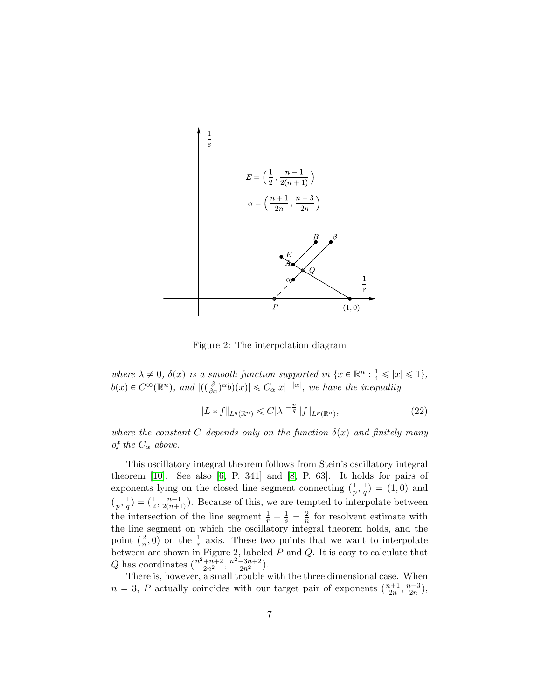

<span id="page-6-0"></span>Figure 2: The interpolation diagram

where  $\lambda \neq 0$ ,  $\delta(x)$  is a smooth function supported in  $\{x \in \mathbb{R}^n : \frac{1}{4} \leq |x| \leq 1\}$ ,  $b(x) \in C^{\infty}(\mathbb{R}^n)$ , and  $|((\frac{\partial}{\partial x})^{\alpha}b)(x)| \leq C_{\alpha}|x|^{-|\alpha|}$ , we have the inequality

$$
||L * f||_{L^{q}(\mathbb{R}^{n})} \leq C|\lambda|^{-\frac{n}{q}}||f||_{L^{p}(\mathbb{R}^{n})},
$$
\n(22)

where the constant C depends only on the function  $\delta(x)$  and finitely many of the  $C_{\alpha}$  above.

This oscillatory integral theorem follows from Stein's oscillatory integral theorem  $[10]$ . See also  $[6, P. 341]$  and  $[8, P. 63]$ . It holds for pairs of exponents lying on the closed line segment connecting  $\left(\frac{1}{n}\right)$  $\frac{1}{p},\frac{1}{q}$  $(\frac{1}{q}) = (1, 0)$  and  $\left(\frac{1}{n}\right)$  $\frac{1}{p}, \frac{1}{q}$  $\frac{1}{q}$ ) =  $\left(\frac{1}{2}, \frac{n-1}{2(n+1)}\right)$  $\frac{n-1}{2(n+1)}$ ). Because of this, we are tempted to interpolate between the intersection of the line segment  $\frac{1}{r} - \frac{1}{s} = \frac{2}{n}$  $\frac{2}{n}$  for resolvent estimate with the line segment on which the oscillatory integral theorem holds, and the point  $\left(\frac{2}{n}\right)$  $\frac{2}{n}$ , 0) on the  $\frac{1}{r}$  axis. These two points that we want to interpolate between are shown in Figure 2, labeled P and Q. It is easy to calculate that Q has coordinates  $(\frac{n^2+n+2}{2n^2}, \frac{n^2-3n+2}{2n^2})$ .

There is, however, a small trouble with the three dimensional case. When  $n = 3$ , P actually coincides with our target pair of exponents  $(\frac{n+1}{2n}, \frac{n-3}{2n})$ ,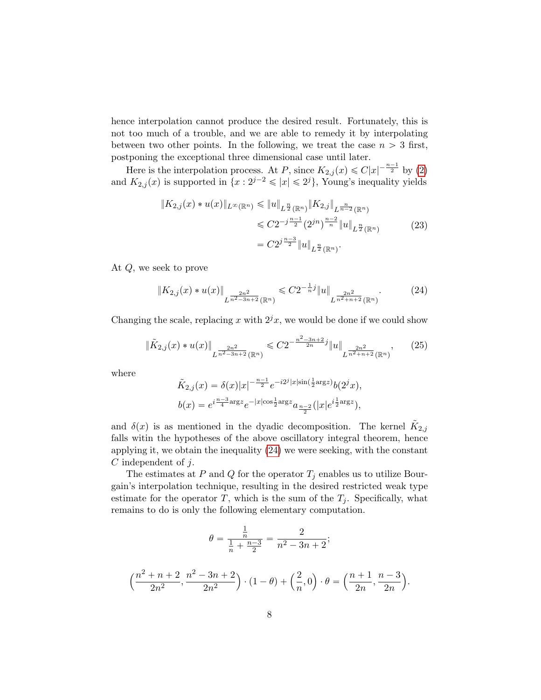hence interpolation cannot produce the desired result. Fortunately, this is not too much of a trouble, and we are able to remedy it by interpolating between two other points. In the following, we treat the case  $n > 3$  first, postponing the exceptional three dimensional case until later.

Here is the interpolation process. At P, since  $K_{2,j}(x) \leq C|x|^{-\frac{n-1}{2}}$  by [\(2\)](#page-6-0) and  $K_{2,j}(x)$  is supported in  $\{x : 2^{j-2} \leqslant |x| \leqslant 2^j\}$ , Young's inequality yields

$$
||K_{2,j}(x) * u(x)||_{L^{\infty}(\mathbb{R}^n)} \le ||u||_{L^{\frac{n}{2}}(\mathbb{R}^n)} ||K_{2,j}||_{L^{\frac{n}{n-2}}(\mathbb{R}^n)}
$$
  
\n
$$
\le C2^{-j\frac{n-1}{2}} (2^{jn})^{\frac{n-2}{n}} ||u||_{L^{\frac{n}{2}}(\mathbb{R}^n)}
$$
  
\n
$$
= C2^{j\frac{n-3}{2}} ||u||_{L^{\frac{n}{2}}(\mathbb{R}^n)}.
$$
\n(23)

At Q, we seek to prove

<span id="page-7-0"></span>
$$
\|K_{2,j}(x) * u(x)\|_{L^{\frac{2n^2}{n^2-3n+2}}(\mathbb{R}^n)} \leq C2^{-\frac{1}{n}j} \|u\|_{L^{\frac{2n^2}{n^2+n+2}}(\mathbb{R}^n)}.
$$
 (24)

Changing the scale, replacing x with  $2^{j}x$ , we would be done if we could show

$$
\|\tilde{K}_{2,j}(x) * u(x)\|_{L^{\frac{2n^2}{n^2-3n+2}}(\mathbb{R}^n)} \leq C2^{-\frac{n^2-3n+2}{2n}j} \|u\|_{L^{\frac{2n^2}{n^2+n+2}}(\mathbb{R}^n)},\tag{25}
$$

where

$$
\tilde{K}_{2,j}(x) = \delta(x)|x|^{-\frac{n-1}{2}}e^{-i2^j|x|\sin(\frac{1}{2}\arg z)}b(2^jx),
$$
  

$$
b(x) = e^{i\frac{n-3}{4}\arg z}e^{-|x|\cos\frac{1}{2}\arg z}a_{\frac{n-2}{2}}(|x|e^{i\frac{1}{2}\arg z}),
$$

and  $\delta(x)$  is as mentioned in the dyadic decomposition. The kernel  $\tilde{K}_{2,j}$ falls witin the hypotheses of the above oscillatory integral theorem, hence applying it, we obtain the inequality [\(24\)](#page-7-0) we were seeking, with the constant C independent of j.

The estimates at P and Q for the operator  $T_i$  enables us to utilize Bourgain's interpolation technique, resulting in the desired restricted weak type estimate for the operator T, which is the sum of the  $T_j$ . Specifically, what remains to do is only the following elementary computation.

$$
\theta = \frac{\frac{1}{n}}{\frac{1}{n} + \frac{n-3}{2}} = \frac{2}{n^2 - 3n + 2};
$$

$$
\left(\frac{n^2+n+2}{2n^2}, \frac{n^2-3n+2}{2n^2}\right) \cdot (1-\theta) + \left(\frac{2}{n}, 0\right) \cdot \theta = \left(\frac{n+1}{2n}, \frac{n-3}{2n}\right).
$$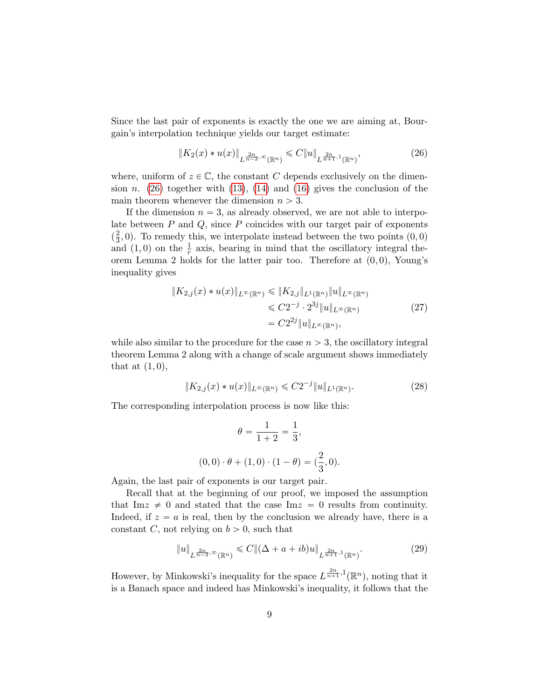Since the last pair of exponents is exactly the one we are aiming at, Bourgain's interpolation technique yields our target estimate:

<span id="page-8-0"></span>
$$
\|K_2(x) * u(x)\|_{L^{\frac{2n}{n-3}, \infty}(\mathbb{R}^n)} \leqslant C \|u\|_{L^{\frac{2n}{n+1}, 1}(\mathbb{R}^n)},\tag{26}
$$

where, uniform of  $z \in \mathbb{C}$ , the constant C depends exclusively on the dimension *n*. [\(26\)](#page-8-0) together with [\(13\)](#page-4-0), [\(14\)](#page-4-1) and [\(16\)](#page-4-2) gives the conclusion of the main theorem whenever the dimension  $n > 3$ .

If the dimension  $n = 3$ , as already observed, we are not able to interpolate between  $P$  and  $Q$ , since  $P$  coincides with our target pair of exponents  $(\frac{2}{3})$  $\frac{2}{3}$ , 0). To remedy this, we interpolate instead between the two points  $(0, 0)$ and  $(1, 0)$  on the  $\frac{1}{r}$  axis, bearing in mind that the oscillatory integral theorem Lemma 2 holds for the latter pair too. Therefore at  $(0,0)$ , Young's inequality gives

$$
||K_{2,j}(x) * u(x)||_{L^{\infty}(\mathbb{R}^n)} \le ||K_{2,j}||_{L^{1}(\mathbb{R}^n)} ||u||_{L^{\infty}(\mathbb{R}^n)}
$$
  
\n
$$
\le C2^{-j} \cdot 2^{3j} ||u||_{L^{\infty}(\mathbb{R}^n)}
$$
  
\n
$$
= C2^{2j} ||u||_{L^{\infty}(\mathbb{R}^n)},
$$
\n(27)

while also similar to the procedure for the case  $n > 3$ , the oscillatory integral theorem Lemma 2 along with a change of scale argument shows immediately that at  $(1, 0)$ ,

$$
||K_{2,j}(x) * u(x)||_{L^{\infty}(\mathbb{R}^n)} \leq C2^{-j}||u||_{L^1(\mathbb{R}^n)}.
$$
\n(28)

The corresponding interpolation process is now like this:

$$
\theta = \frac{1}{1+2} = \frac{1}{3},
$$
  
(0,0)  $\cdot \theta + (1,0) \cdot (1-\theta) = (\frac{2}{3}, 0).$ 

Again, the last pair of exponents is our target pair.

Recall that at the beginning of our proof, we imposed the assumption that Im $z \neq 0$  and stated that the case Im $z = 0$  results from continuity. Indeed, if  $z = a$  is real, then by the conclusion we already have, there is a constant C, not relying on  $b > 0$ , such that

$$
||u||_{L^{\frac{2n}{n-3},\infty}(\mathbb{R}^n)} \leq C ||(\Delta + a + ib)u||_{L^{\frac{2n}{n+1},1}(\mathbb{R}^n)}.
$$
 (29)

However, by Minkowski's inequality for the space  $L^{\frac{2n}{n+1},1}(\mathbb{R}^n)$ , noting that it is a Banach space and indeed has Minkowski's inequality, it follows that the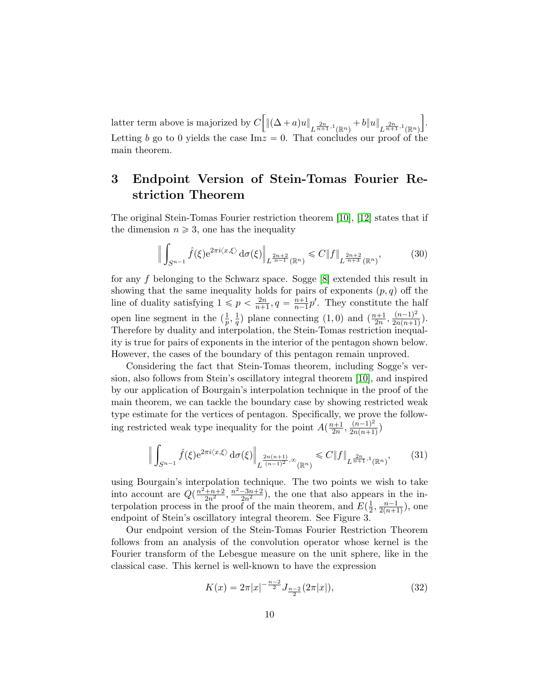latter term above is majorized by C "  $\|(\Delta+a)u\|_{L^{\frac{2n}{n+1},1}(\mathbb{R}^n)}+b\|u\|_{L^{\frac{2n}{n+1},1}(\mathbb{R}^n)}$ ı . Letting b go to 0 yields the case  $\text{Im} z = 0$ . That concludes our proof of the main theorem.

## 3 Endpoint Version of Stein-Tomas Fourier Restriction Theorem

The original Stein-Tomas Fourier restriction theorem [\[10\]](#page-15-3), [\[12\]](#page-15-5) states that if the dimension  $n \geqslant 3$ , one has the inequality

$$
\left\| \int_{S^{n-1}} \hat{f}(\xi) e^{2\pi i \langle x, \xi \rangle} d\sigma(\xi) \right\|_{L^{\frac{2n+2}{n-1}}(\mathbb{R}^n)} \leq C \|f\|_{L^{\frac{2n+2}{n+3}}(\mathbb{R}^n)},
$$
(30)

for any f belonging to the Schwarz space. Sogge  $[8]$  extended this result in showing that the same inequality holds for pairs of exponents  $(p, q)$  off the line of duality satisfying  $1 \leqslant p < \frac{2n}{n+1}$  $\frac{2n}{n+1}, q = \frac{n+1}{n-1}$  $\frac{n+1}{n-1}p'$ . They constitute the half open line segment in the  $\left(\frac{1}{n}\right)$  $\frac{1}{p}, \frac{1}{q}$  $\frac{1}{q}$ ) plane connecting (1,0) and  $\left(\frac{n+1}{2n}, \frac{(n-1)^2}{2n(n+1)}\right)$  $\frac{(n-1)^n}{2n(n+1)}$ . Therefore by duality and interpolation, the Stein-Tomas restriction inequality is true for pairs of exponents in the interior of the pentagon shown below. However, the cases of the boundary of this pentagon remain unproved.

Considering the fact that Stein-Tomas theorem, including Sogge's version, also follows from Stein's oscillatory integral theorem [\[10\]](#page-15-3), and inspired by our application of Bourgain's interpolation technique in the proof of the main theorem, we can tackle the boundary case by showing restricted weak type estimate for the vertices of pentagon. Specifically, we prove the following restricted weak type inequality for the point  $A(\frac{n+1}{2n}, \frac{(n-1)^2}{2n(n+1)})$  $\frac{(n-1)}{2n(n+1)}$ 

$$
\left\| \int_{S^{n-1}} \hat{f}(\xi) e^{2\pi i \langle x, \xi \rangle} d\sigma(\xi) \right\|_{L^{\frac{2n(n+1)}{(n-1)^2}, \infty}(\mathbb{R}^n)} \leq C \|f\|_{L^{\frac{2n}{n+1}, 1}(\mathbb{R}^n)},\tag{31}
$$

using Bourgain's interpolation technique. The two points we wish to take into account are  $Q(\frac{n^2+n+2}{2n^2}, \frac{n^2-3n+2}{2n^2})$ , the one that also appears in the interpolation process in the proof of the main theorem, and  $E(\frac{1}{2})$  $\frac{1}{2}, \frac{n-1}{2(n+1)}$  $\frac{n-1}{2(n+1)}$ ), one endpoint of Stein's oscillatory integral theorem. See Figure 3.

Our endpoint version of the Stein-Tomas Fourier Restriction Theorem follows from an analysis of the convolution operator whose kernel is the Fourier transform of the Lebesgue measure on the unit sphere, like in the classical case. This kernel is well-known to have the expression

$$
K(x) = 2\pi |x|^{-\frac{n-2}{2}} J_{\frac{n-2}{2}}(2\pi |x|),
$$
\n(32)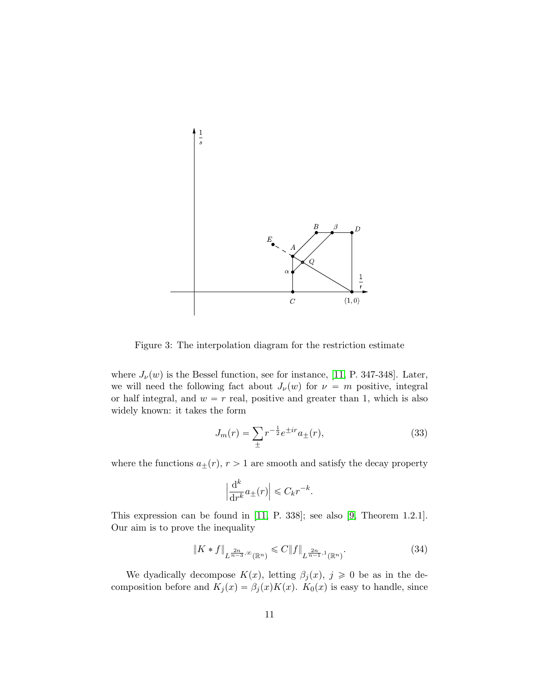

<span id="page-10-0"></span>Figure 3: The interpolation diagram for the restriction estimate

where  $J_{\nu}(w)$  is the Bessel function, see for instance, [\[11,](#page-15-6) P. 347-348]. Later, we will need the following fact about  $J_{\nu}(w)$  for  $\nu = m$  positive, integral or half integral, and  $w = r$  real, positive and greater than 1, which is also widely known: it takes the form

<span id="page-10-1"></span>
$$
J_m(r) = \sum_{\pm} r^{-\frac{1}{2}} e^{\pm ir} a_{\pm}(r),\tag{33}
$$

where the functions  $a_{\pm}(r), r > 1$  are smooth and satisfy the decay property

$$
\left|\frac{\mathrm{d}^k}{\mathrm{d}r^k}a_{\pm}(r)\right| \leqslant C_k r^{-k}.
$$

This expression can be found in [\[11,](#page-15-6) P. 338]; see also [\[9,](#page-15-7) Theorem 1.2.1]. Our aim is to prove the inequality

$$
\|K * f\|_{L^{\frac{2n}{n-3}, \infty}(\mathbb{R}^n)} \leqslant C \|f\|_{L^{\frac{2n}{n-1}, 1}(\mathbb{R}^n)}.
$$
\n(34)

We dyadically decompose  $K(x)$ , letting  $\beta_i(x)$ ,  $j \geq 0$  be as in the decomposition before and  $K_j(x) = \beta_j(x)K(x)$ .  $K_0(x)$  is easy to handle, since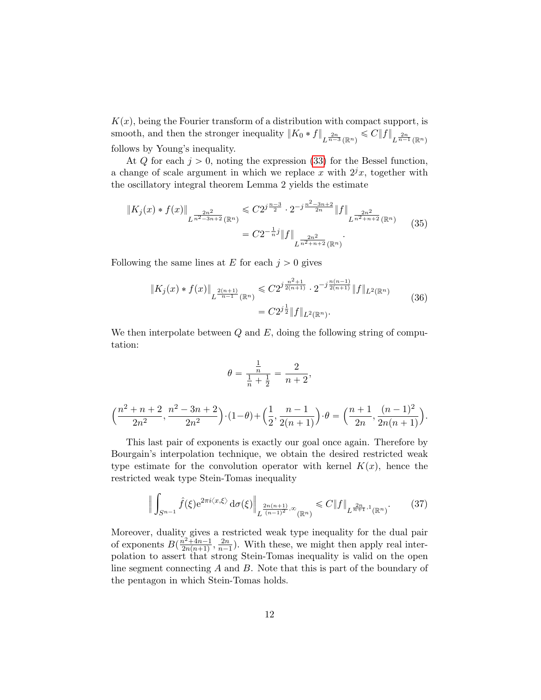$K(x)$ , being the Fourier transform of a distribution with compact support, is smooth, and then the stronger inequality  $||K_0 * f||_{L^{\frac{2n}{n-3}}(\mathbb{R}^n)} \leqslant C||f||_{L^{\frac{2n}{n-1}}(\mathbb{R}^n)}$ follows by Young's inequality.

At Q for each  $j > 0$ , noting the expression [\(33\)](#page-10-1) for the Bessel function, a change of scale argument in which we replace x with  $2^{j}x$ , together with the oscillatory integral theorem Lemma 2 yields the estimate

$$
\|K_j(x) * f(x)\|_{L^{\frac{2n^2}{n^2-3n+2}}(\mathbb{R}^n)} \leq C2^{j\frac{n-3}{2}} \cdot 2^{-j\frac{n^2-3n+2}{2n}} \|f\|_{L^{\frac{2n^2}{n^2+n+2}}(\mathbb{R}^n)}
$$
(35)  

$$
= C2^{-\frac{1}{n}j} \|f\|_{L^{\frac{2n^2}{n^2+n+2}}(\mathbb{R}^n)}.
$$

Following the same lines at  $E$  for each  $j > 0$  gives

$$
\|K_j(x) * f(x)\|_{L^{\frac{2(n+1)}{n-1}}(\mathbb{R}^n)} \leq C2^{j\frac{n^2+1}{2(n+1)}} \cdot 2^{-j\frac{n(n-1)}{2(n+1)}} \|f\|_{L^2(\mathbb{R}^n)}
$$
\n
$$
= C2^{j\frac{1}{2}} \|f\|_{L^2(\mathbb{R}^n)}.
$$
\n(36)

We then interpolate between  $Q$  and  $E$ , doing the following string of computation:

$$
\theta = \frac{\frac{1}{n}}{\frac{1}{n} + \frac{1}{2}} = \frac{2}{n+2},
$$

$$
\left(\frac{n^2+n+2}{2n^2}, \frac{n^2-3n+2}{2n^2}\right) \cdot (1-\theta) + \left(\frac{1}{2}, \frac{n-1}{2(n+1)}\right) \cdot \theta = \left(\frac{n+1}{2n}, \frac{(n-1)^2}{2n(n+1)}\right).
$$

This last pair of exponents is exactly our goal once again. Therefore by Bourgain's interpolation technique, we obtain the desired restricted weak type estimate for the convolution operator with kernel  $K(x)$ , hence the restricted weak type Stein-Tomas inequality

$$
\left\| \int_{S^{n-1}} \hat{f}(\xi) e^{2\pi i \langle x, \xi \rangle} d\sigma(\xi) \right\|_{L^{\frac{2n(n+1)}{(n-1)^2}, \infty}(\mathbb{R}^n)} \leq C \|f\|_{L^{\frac{2n}{n+1}, 1}(\mathbb{R}^n)}.
$$
 (37)

Moreover, duality gives a restricted weak type inequality for the dual pair of exponents  $B(\frac{n^2+4n-1}{2n(n+1)})$  $\frac{n^2+4n-1}{2n(n+1)}, \frac{2n}{n-1}$  $\frac{2n}{n-1}$ ). With these, we might then apply real interpolation to assert that strong Stein-Tomas inequality is valid on the open line segment connecting A and B. Note that this is part of the boundary of the pentagon in which Stein-Tomas holds.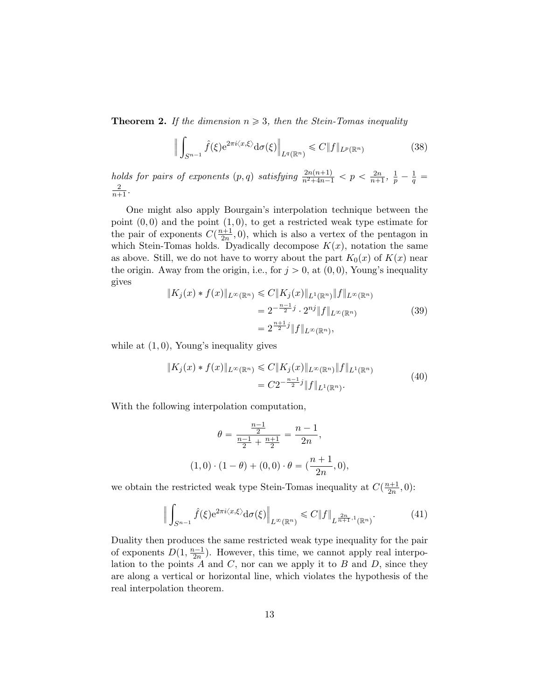**Theorem 2.** If the dimension  $n \geq 3$ , then the Stein-Tomas inequality

$$
\left\| \int_{S^{n-1}} \hat{f}(\xi) e^{2\pi i \langle x, \xi \rangle} d\sigma(\xi) \right\|_{L^q(\mathbb{R}^n)} \leq C \|f\|_{L^p(\mathbb{R}^n)}
$$
(38)

holds for pairs of exponents  $(p, q)$  satisfying  $\frac{2n(n+1)}{n^2+4n-1} < p < \frac{2n}{n+1}$  $\frac{2n}{n+1}, \frac{1}{p} - \frac{1}{q} =$ 2  $\frac{2}{n+1}$ .

One might also apply Bourgain's interpolation technique between the point  $(0, 0)$  and the point  $(1, 0)$ , to get a restricted weak type estimate for the pair of exponents  $C(\frac{n+1}{2n},0)$ , which is also a vertex of the pentagon in which Stein-Tomas holds. Dyadically decompose  $K(x)$ , notation the same as above. Still, we do not have to worry about the part  $K_0(x)$  of  $K(x)$  near the origin. Away from the origin, i.e., for  $j > 0$ , at  $(0, 0)$ , Young's inequality gives

$$
||K_j(x) * f(x)||_{L^{\infty}(\mathbb{R}^n)} \leq C||K_j(x)||_{L^1(\mathbb{R}^n)} ||f||_{L^{\infty}(\mathbb{R}^n)}
$$
  
=  $2^{-\frac{n-1}{2}j} \cdot 2^{nj} ||f||_{L^{\infty}(\mathbb{R}^n)}$  (39)  
=  $2^{\frac{n+1}{2}j} ||f||_{L^{\infty}(\mathbb{R}^n)},$ 

while at  $(1, 0)$ , Young's inequality gives

$$
||K_j(x) * f(x)||_{L^{\infty}(\mathbb{R}^n)} \leq C||K_j(x)||_{L^{\infty}(\mathbb{R}^n)} ||f||_{L^1(\mathbb{R}^n)}
$$
  
=  $C2^{-\frac{n-1}{2}j} ||f||_{L^1(\mathbb{R}^n)}$ . (40)

With the following interpolation computation,

$$
\theta = \frac{\frac{n-1}{2}}{\frac{n-1}{2} + \frac{n+1}{2}} = \frac{n-1}{2n},
$$
  
(1,0) \cdot (1 - \theta) + (0,0) \cdot \theta = (\frac{n+1}{2n}, 0),

we obtain the restricted weak type Stein-Tomas inequality at  $C(\frac{n+1}{2n},0)$ :

$$
\left\| \int_{S^{n-1}} \hat{f}(\xi) e^{2\pi i \langle x, \xi \rangle} d\sigma(\xi) \right\|_{L^{\infty}(\mathbb{R}^n)} \leq C \|f\|_{L^{\frac{2n}{n+1}, 1}(\mathbb{R}^n)}.
$$
 (41)

Duality then produces the same restricted weak type inequality for the pair of exponents  $D(1, \frac{n-1}{2n})$ . However, this time, we cannot apply real interpolation to the points  $A$  and  $C$ , nor can we apply it to  $B$  and  $D$ , since they are along a vertical or horizontal line, which violates the hypothesis of the real interpolation theorem.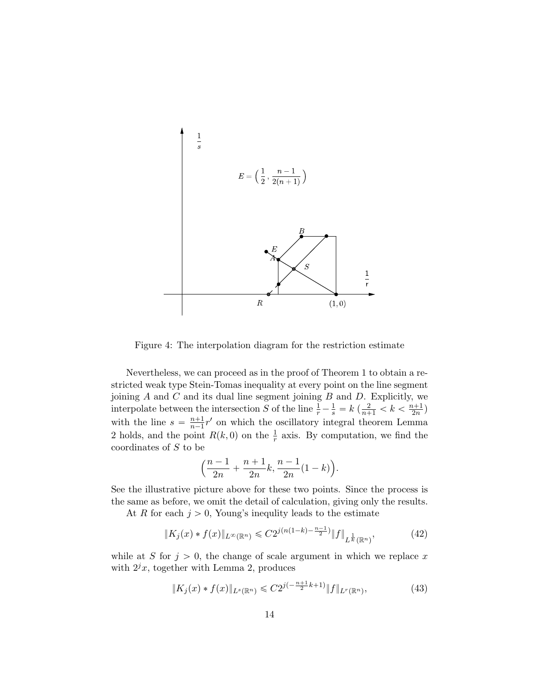

<span id="page-13-0"></span>Figure 4: The interpolation diagram for the restriction estimate

Nevertheless, we can proceed as in the proof of Theorem 1 to obtain a restricted weak type Stein-Tomas inequality at every point on the line segment joining  $A$  and  $C$  and its dual line segment joining  $B$  and  $D$ . Explicitly, we interpolate between the intersection S of the line  $\frac{1}{r} - \frac{1}{s} = k \left( \frac{2}{n+1} < k < \frac{n+1}{2n} \right)$ with the line  $s = \frac{n+1}{n-1}$  $\frac{n+1}{n-1}r'$  on which the oscillatory integral theorem Lemma 2 holds, and the point  $R(k, 0)$  on the  $\frac{1}{r}$  axis. By computation, we find the coordinates of S to be

$$
\left(\frac{n-1}{2n} + \frac{n+1}{2n}k, \frac{n-1}{2n}(1-k)\right).
$$

See the illustrative picture above for these two points. Since the process is the same as before, we omit the detail of calculation, giving only the results.

At R for each  $j > 0$ , Young's inequlity leads to the estimate

$$
||K_j(x) * f(x)||_{L^{\infty}(\mathbb{R}^n)} \leqslant C2^{j(n(1-k)-\frac{n-1}{2})} ||f||_{L^{\frac{1}{k}}(\mathbb{R}^n)},\tag{42}
$$

while at S for  $j > 0$ , the change of scale argument in which we replace x with  $2^{j}x$ , together with Lemma 2, produces

$$
||K_j(x) * f(x)||_{L^s(\mathbb{R}^n)} \leq C2^{j(-\frac{n+1}{2}k+1)} ||f||_{L^r(\mathbb{R}^n)},\tag{43}
$$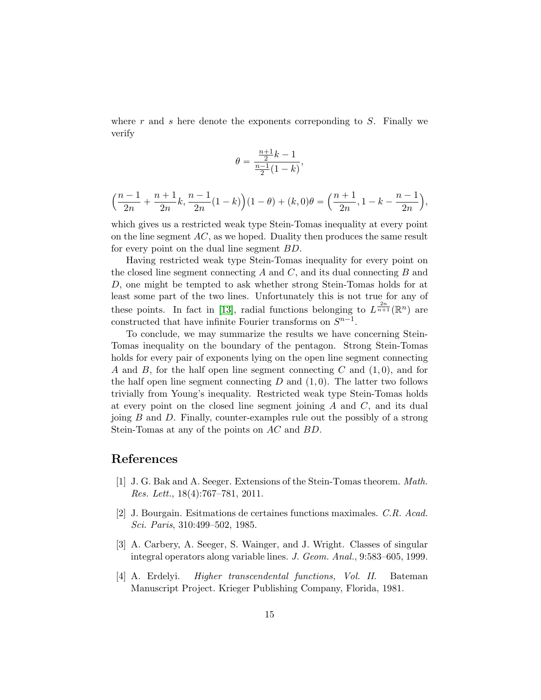where r and s here denote the exponents corresponding to  $S$ . Finally we verify

$$
\theta=\frac{\frac{n+1}{2}k-1}{\frac{n-1}{2}(1-k)},
$$

$$
\left(\frac{n-1}{2n} + \frac{n+1}{2n}k, \frac{n-1}{2n}(1-k)\right)(1-\theta) + (k,0)\theta = \left(\frac{n+1}{2n}, 1-k - \frac{n-1}{2n}\right),
$$

which gives us a restricted weak type Stein-Tomas inequality at every point on the line segment  $AC$ , as we hoped. Duality then produces the same result for every point on the dual line segment BD.

Having restricted weak type Stein-Tomas inequality for every point on the closed line segment connecting  $A$  and  $C$ , and its dual connecting  $B$  and D, one might be tempted to ask whether strong Stein-Tomas holds for at least some part of the two lines. Unfortunately this is not true for any of these points. In fact in [\[13\]](#page-15-8), radial functions belonging to  $L^{\frac{2n}{n+1}}(\mathbb{R}^n)$  are constructed that have infinite Fourier transforms on  $S^{n-1}$ .

To conclude, we may summarize the results we have concerning Stein-Tomas inequality on the boundary of the pentagon. Strong Stein-Tomas holds for every pair of exponents lying on the open line segment connecting A and B, for the half open line segment connecting C and  $(1, 0)$ , and for the half open line segment connecting  $D$  and  $(1, 0)$ . The latter two follows trivially from Young's inequality. Restricted weak type Stein-Tomas holds at every point on the closed line segment joining  $A$  and  $C$ , and its dual joing  $B$  and  $D$ . Finally, counter-examples rule out the possibly of a strong Stein-Tomas at any of the points on AC and BD.

#### References

- <span id="page-14-1"></span>[1] J. G. Bak and A. Seeger. Extensions of the Stein-Tomas theorem. Math. Res. Lett., 18(4):767–781, 2011.
- <span id="page-14-0"></span>[2] J. Bourgain. Esitmations de certaines functions maximales. C.R. Acad. Sci. Paris, 310:499–502, 1985.
- <span id="page-14-3"></span>[3] A. Carbery, A. Seeger, S. Wainger, and J. Wright. Classes of singular integral operators along variable lines. J. Geom. Anal., 9:583–605, 1999.
- <span id="page-14-2"></span>[4] A. Erdelyi. Higher transcendental functions, Vol. II. Bateman Manuscript Project. Krieger Publishing Company, Florida, 1981.